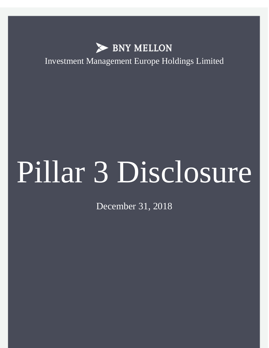

Investment Management Europe Holdings Limited

# Pillar 3 Disclosure

December 31, 2018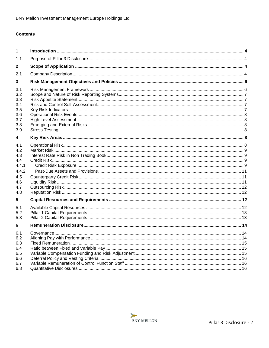# **Contents**

| 1                                                                           |  |
|-----------------------------------------------------------------------------|--|
| 1.1.                                                                        |  |
| 2                                                                           |  |
| 2.1                                                                         |  |
| 3                                                                           |  |
| 3.1<br>3.2<br>3.3<br>3.4<br>3.5<br>3.6<br>3.7<br>3.8<br>3.9                 |  |
| 4                                                                           |  |
| 4.1<br>4.2<br>4.3<br>4.4<br>4.4.1<br>4.4.2<br>4.5<br>4.6<br>4.7<br>4.8<br>5 |  |
| 5.1<br>5.2<br>5.3                                                           |  |
| 6                                                                           |  |
| 6.1<br>6.2<br>6.3<br>6.4<br>6.5<br>6.6<br>6.7                               |  |
| 6.8                                                                         |  |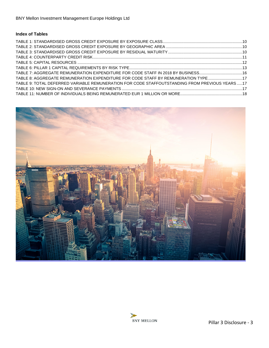# **Index of Tables**

| TABLE 7: AGGREGATE REMUNERATION EXPENDITURE FOR CODE STAFF IN 2018 BY BUSINESS16               |  |
|------------------------------------------------------------------------------------------------|--|
| TABLE 8: AGGREGATE REMUNERATION EXPENDITURE FOR CODE STAFF BY REMUNERATION TYPE17              |  |
| TABLE 9: TOTAL DEFERRED VARIABLE REMUNERATION FOR CODE STAFFOUTSTANDING FROM PREVIOUS YEARS 17 |  |
|                                                                                                |  |
|                                                                                                |  |



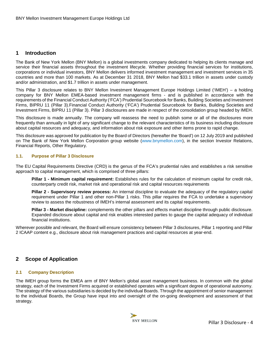# <span id="page-3-0"></span>**1 Introduction**

The Bank of New York Mellon (BNY Mellon) is a global investments company dedicated to helping its clients manage and service their financial assets throughout the investment lifecycle. Whether providing financial services for institutions, corporations or individual investors, BNY Mellon delivers informed investment management and investment services in 35 countries and more than 100 markets. As at December 31 2018, BNY Mellon had \$33.1 trillion in assets under custody and/or administration, and \$1.7 trillion in assets under management.

This Pillar 3 disclosure relates to BNY Mellon Investment Management Europe Holdings Limited ('IMEH') – a holding company for BNY Mellon EMEA-based investment management firms - and is published in accordance with the requirements of the Financial Conduct Authority ('FCA') Prudential Sourcebook for Banks, Building Societies and Investment Firms, BIPRU 11 (Pillar 3).Financial Conduct Authority ('FCA') Prudential Sourcebook for Banks, Building Societies and Investment Firms, BIPRU 11 (Pillar 3). Pillar 3 disclosures are made in respect of the consolidation group headed by IMEH.

This disclosure is made annually. The company will reassess the need to publish some or all of the disclosures more frequently than annually in light of any significant change to the relevant characteristics of its business including disclosure about capital resources and adequacy, and information about risk exposure and other items prone to rapid change.

This disclosure was approved for publication by the Board of Directors (hereafter the 'Board') on 12 July 2019 and published on The Bank of New York Mellon Corporation group website [\(www.bnymellon.com\)](http://www.bnymellon.com/investorrelations/filings/index.html), in the section Investor Relations, Financial Reports, Other Regulatory.

#### <span id="page-3-1"></span>**1.1. Purpose of Pillar 3 Disclosure**

The EU Capital Requirements Directive (CRD) is the genus of the FCA's prudential rules and establishes a risk sensitive approach to capital management, which is comprised of three pillars:

**Pillar 1 - Minimum capital requirement:** Establishes rules for the calculation of minimum capital for credit risk, counterparty credit risk, market risk and operational risk and capital resources requirements

**Pillar 2 - Supervisory review process:** An internal discipline to evaluate the adequacy of the regulatory capital requirement under Pillar 1 and other non-Pillar 1 risks. This pillar requires the FCA to undertake a supervisory review to assess the robustness of IMEH's internal assessment and its capital requirements.

**Pillar 3 - Market discipline:** complements the other pillars and effects market discipline through public disclosure. Expanded disclosure about capital and risk enables interested parties to gauge the capital adequacy of individual financial institutions.

Wherever possible and relevant, the Board will ensure consistency between Pillar 3 disclosures, Pillar 1 reporting and Pillar 2 ICAAP content e.g., disclosure about risk management practices and capital resources at year-end.

# <span id="page-3-2"></span>**2 Scope of Application**

#### <span id="page-3-3"></span>**2.1 Company Description**

The IMEH group forms the EMEA arm of BNY Mellon's global asset management business. In common with the global strategy, each of the Investment Firms acquired or established operates with a significant degree of operational autonomy. The strategy of the various subsidiaries is decided by the individual Boards. Through the appointment of senior management to the individual Boards, the Group have input into and oversight of the on-going development and assessment of that strategy.

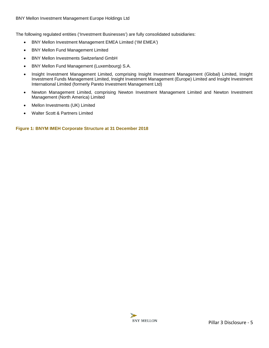The following regulated entities ('Investment Businesses') are fully consolidated subsidiaries:

- BNY Mellon Investment Management EMEA Limited ('IM EMEA')
- BNY Mellon Fund Management Limited
- BNY Mellon Investments Switzerland GmbH
- BNY Mellon Fund Management (Luxembourg) S.A.
- Insight Investment Management Limited, comprising Insight Investment Management (Global) Limited, Insight Investment Funds Management Limited, Insight Investment Management (Europe) Limited and Insight Investment International Limited (formerly Pareto Investment Management Ltd)
- Newton Management Limited, comprising Newton Investment Management Limited and Newton Investment Management (North America) Limited
- Mellon Investments (UK) Limited
- Walter Scott & Partners Limited

**Figure 1: BNYM IMEH Corporate Structure at 31 December 2018**

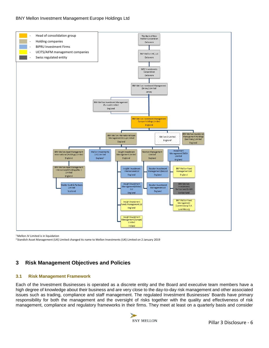#### BNY Mellon Investment Management Europe Holdings Ltd



<sup>1</sup> Mellon IV Limited is in liquidation

<span id="page-5-0"></span>2 Standish Asset Management (UK) Limited changed its name to Mellon Investments (UK) Limited on 2 January 2019

# **3 Risk Management Objectives and Policies**

#### <span id="page-5-1"></span>**3.1 Risk Management Framework**

Each of the Investment Businesses is operated as a discrete entity and the Board and executive team members have a high degree of knowledge about their business and are very close to the day-to-day risk management and other associated issues such as trading, compliance and staff management. The regulated Investment Businesses' Boards have primary responsibility for both the management and the oversight of risks together with the quality and effectiveness of risk management, compliance and regulatory frameworks in their firms. They meet at least on a quarterly basis and consider

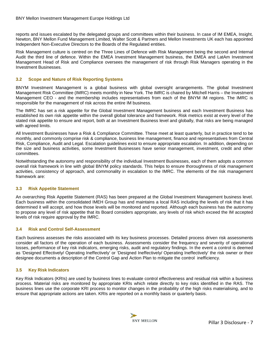reports and issues escalated by the delegated groups and committees within their business. In case of IM EMEA, Insight, Newton, BNY Mellon Fund Management Limited, Walter Scott & Partners and Mellon Investments UK each has appointed Independent Non-Executive Directors to the Boards of the Regulated entities.

Risk Management culture is centred on the Three Lines of Defence with Risk Management being the second and Internal Audit the third line of defence. Within the EMEA Investment Management business, the EMEA and LatAm Investment Management Head of Risk and Compliance oversees the management of risk through Risk Managers operating in the Investment Businesses.

#### <span id="page-6-0"></span>**3.2 Scope and Nature of Risk Reporting Systems**

BNYM Investment Management is a global business with global oversight arrangements. The global Investment Management Risk Committee (IMRC) meets monthly in New York. The IMRC is chaired by Mitchell Harris – the Investment Management CEO - and the membership includes representatives from each of the BNYM IM regions. The IMRC is responsible for the management of risk across the entire IM business.

The IMRC has set a risk appetite for the Global Investment Management business and each Investment Business has established its own risk appetite within the overall global tolerance and framework. Risk metrics exist at every level of the stated risk appetite to ensure and report, both at an Investment Business level and globally, that risks are being managed with agreed limits.

All Investment Businesses have a Risk & Compliance Committee. These meet at least quarterly, but in practice tend to be monthly, and commonly comprise risk & compliance, business line management, finance and representatives from Central Risk, Compliance, Audit and Legal. Escalation guidelines exist to ensure appropriate escalation. In addition, depending on the size and business activities, some Investment Businesses have senior management, investment, credit and other committees.

Notwithstanding the autonomy and responsibility of the individual Investment Businesses, each of them adopts a common overall risk framework in line with global BNYM policy standards. This helps to ensure thoroughness of risk management activities, consistency of approach, and commonality in escalation to the IMRC. The elements of the risk management framework are:

# <span id="page-6-1"></span>**3.3 Risk Appetite Statement**

An overarching Risk Appetite Statement (RAS) has been prepared at the Global Investment Management business level. Each business within the consolidated IMEH Group has and maintains a local RAS including the levels of risk that it has determined it will accept, and how those levels will be monitored and reported. Although each business has the autonomy to propose any level of risk appetite that its Board considers appropriate, any levels of risk which exceed the IM accepted levels of risk require approval by the IMRC.

## <span id="page-6-2"></span>**3.4 Risk and Control Self-Assessment**

Each business assesses the risks associated with its key business processes. Detailed process driven risk assessments consider all factors of the operation of each business. Assessments consider the frequency and severity of operational losses, performance of key risk indicators, emerging risks, audit and regulatory findings. In the event a control is deemed as 'Designed Effectively/ Operating Ineffectively' or 'Designed Ineffectively/ Operating Ineffectively' the risk owner or their designee documents a description of the Control Gap and Action Plan to mitigate the control inefficiency.

#### <span id="page-6-3"></span>**3.5 Key Risk Indicators**

Key Risk Indicators (KRIs) are used by business lines to evaluate control effectiveness and residual risk within a business process. Material risks are monitored by appropriate KRIs which relate directly to key risks identified in the RAS. The business lines use the corporate KRI process to monitor changes in the probability of the high risks materialising, and to ensure that appropriate actions are taken. KRIs are reported on a monthly basis or quarterly basis.

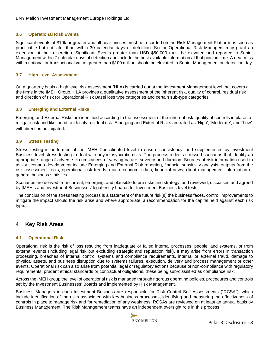#### <span id="page-7-0"></span>**3.6 Operational Risk Events**

Significant events of \$10k or greater and all near misses must be recorded on the Risk Management Platform as soon as practicable but not later than within 30 calendar days of detection. Sector Operational Risk Managers may grant an extension at their discretion. Significant Events greater than USD \$50,000 must be elevated and reported to Senior Management within 7 calendar days of detection and include the best available information at that point in time. A near miss with a notional or transactional value greater than \$100 million should be elevated to Senior Management on detection day.

#### <span id="page-7-1"></span>**3.7 High Level Assessment**

On a quarterly basis a high level risk assessment (HLA) is carried out at the Investment Management level that covers all the firms in the IMEH Group. HLA provides a qualitative assessment of the inherent risk, quality of control, residual risk and direction of risk for Operational Risk Basel loss type categories and certain sub-type categories.

#### <span id="page-7-2"></span>**3.8 Emerging and External Risks**

Emerging and External Risks are identified according to the assessment of the inherent risk, quality of controls in place to mitigate risk and likelihood to identify residual risk. Emerging and External Risks are rated as 'High', 'Moderate', and 'Low' with direction anticipated.

#### <span id="page-7-3"></span>**3.9 Stress Testing**

Stress testing is performed at the IMEH Consolidated level to ensure consistency, and supplemented by Investment Business level stress testing to deal with any idiosyncratic risks. The process reflects stressed scenarios that identify an appropriate range of adverse circumstances of varying nature, severity and duration. Sources of risk information used to assist scenario development include Emerging and External Risk reporting, financial sensitivity analysis, outputs from the risk assessment tools, operational risk trends, macro-economic data, financial news, client management information or general business statistics.

Scenarios are derived from current, emerging, and plausible future risks and strategy, and reviewed, discussed and agreed by IMEH's and Investment Businesses' legal entity boards for Investment Business level tests.

The conclusion of the stress testing process is a statement of the future risk(s) the business faces, control improvements to mitigate the impact should the risk arise and where appropriate, a recommendation for the capital held against each risk type.

# <span id="page-7-4"></span>**4 Key Risk Areas**

#### <span id="page-7-5"></span>**4.1 Operational Risk**

Operational risk is the risk of loss resulting from inadequate or failed internal processes, people, and systems, or from external events (including legal risk but excluding strategic and reputation risk). It may arise from errors in transaction processing, breaches of internal control systems and compliance requirements, internal or external fraud, damage to physical assets, and business disruption due to systems failures, execution, delivery and process management or other events. Operational risk can also arise from potential legal or regulatory actions because of non-compliance with regulatory requirements, prudent ethical standards or contractual obligations, these being sub-classified as compliance risk.

Across the IMEH group the level of operational risk is managed through rigorous operating policies, procedures and controls set by the Investment Businesses' Boards and implemented by Risk Management.

Business Managers in each Investment Business are responsible for Risk Control Self Assessments ("RCSA"), which include identification of the risks associated with key business processes, identifying and measuring the effectiveness of controls in place to manage risk and for remediation of any weakness. RCSAs are reviewed on at least an annual basis by Business Management. The Risk Management teams have an independent oversight role in this process.

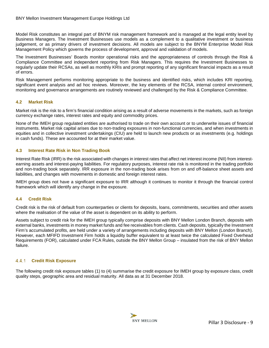Model Risk constitutes an integral part of BNYM risk management framework and is managed at the legal entity level by Business Managers. The Investment Businesses use models as a complement to a qualitative investment or business judgement, or as primary drivers of investment decisions. All models are subject to the BNYM Enterprise Model Risk Management Policy which governs the process of development, approval and validation of models.

The Investment Businesses' Boards monitor operational risks and the appropriateness of controls through the Risk & Compliance Committee and independent reporting from Risk Managers. This requires the Investment Businesses to regularly update their RCSAs, as well as monthly KRIs and prompt reporting of any significant financial impacts as a result of errors.

Risk Management performs monitoring appropriate to the business and identified risks, which includes KRI reporting, significant event analysis and ad hoc reviews. Moreover, the key elements of the RCSA, internal control environment, monitoring and governance arrangements are routinely reviewed and challenged by the Risk & Compliance Committee.

# <span id="page-8-0"></span>**4.2 Market Risk**

Market risk is the risk to a firm's financial condition arising as a result of adverse movements in the markets, such as foreign currency exchange rates, interest rates and equity and commodity prices.

None of the IMEH group regulated entities are authorised to trade on their own account or to underwrite issues of financial instruments. Market risk capital arises due to non-trading exposures in non-functional currencies, and when investments in equities and in collective investment undertakings (CIU) are held to launch new products or as investments (e.g. holdings in cash funds). These are accounted for at their market value.

# <span id="page-8-1"></span>**4.3 Interest Rate Risk in Non Trading Book**

Interest Rate Risk (IRR) is the risk associated with changes in interest rates that affect net interest income (NII) from interestearning assets and interest-paying liabilities. For regulatory purposes, interest rate risk is monitored in the trading portfolio and non-trading book separately. IRR exposure in the non-trading book arises from on and off-balance sheet assets and liabilities, and changes with movements in domestic and foreign interest rates.

IMEH group does not have a significant exposure to IRR although it continues to monitor it through the financial control framework which will identify any change in the exposure.

## <span id="page-8-2"></span>**4.4 Credit Risk**

Credit risk is the risk of default from counterparties or clients for deposits, loans, commitments, securities and other assets where the realisation of the value of the asset is dependent on its ability to perform.

Assets subject to credit risk for the IMEH group typically comprise deposits with BNY Mellon London Branch, deposits with external banks, investments in money market funds and fee receivables from clients. Cash deposits, typically the Investment Firm's accumulated profits, are held under a variety of arrangements including deposits with BNY Mellon (London Branch). However, each MFIFD Investment Firm holds a liquidity buffer equivalent to at least twice the calculated Fixed Overhead Requirements (FOR), calculated under FCA Rules, outside the BNY Mellon Group – insulated from the risk of BNY Mellon failure.

#### <span id="page-8-3"></span> $4.4.1$ **Credit Risk Exposure**

<span id="page-8-4"></span>The following credit risk exposure tables (1) to (4) summarise the credit exposure for IMEH group by exposure class, credit quality steps, geographic area and residual maturity. All data as at 31 December 2018.

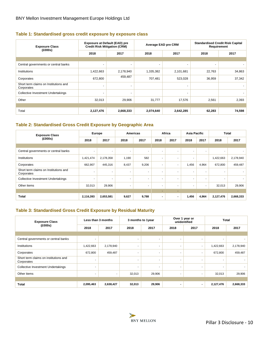# **Table 1: Standardised gross credit exposure by exposure class**

| <b>Exposure Class</b><br>(£000s)                    | <b>Exposure at Default (EAD) pre</b><br><b>Credit Risk Mitigation (CRM)</b> |                          | Average EAD pre CRM      |                | <b>Standardised Credit Risk Capital</b> | Requirement |  |  |
|-----------------------------------------------------|-----------------------------------------------------------------------------|--------------------------|--------------------------|----------------|-----------------------------------------|-------------|--|--|
|                                                     | 2018                                                                        | 2017                     | 2018                     | 2017           | 2018                                    | 2017        |  |  |
|                                                     |                                                                             |                          |                          |                |                                         |             |  |  |
| Central governments or central banks                | $\sim$                                                                      | $\overline{\phantom{a}}$ | $\overline{\phantom{a}}$ | $\sim$         | $\sim$                                  |             |  |  |
| Institutions                                        | 1,422,663                                                                   | 2,178,940                | 1,335,382                | 2,101,681      | 22,763                                  | 34,863      |  |  |
| Corporates                                          | 672,800                                                                     | 459,487                  | 707,481                  | 523,028        | 36,959                                  | 37,342      |  |  |
| Short term claims on Institutions and<br>Corporates | ٠                                                                           | ۰                        |                          |                |                                         |             |  |  |
| Collective Investment Undertakings                  | $\sim$                                                                      | $\overline{\phantom{0}}$ |                          | $\overline{a}$ |                                         |             |  |  |
| Other                                               | 32,013                                                                      | 29,906                   | 31,777                   | 17,576         | 2,561                                   | 2,393       |  |  |
|                                                     |                                                                             |                          |                          |                |                                         |             |  |  |
| Total                                               | 2,127,476                                                                   | 2,668,333                | 2,074,640                | 2,642,285      | 62,283                                  | 74,598      |  |  |

# <span id="page-9-0"></span>**Table 2: Standardised Gross Credit Exposure by Geographic Area**

| <b>Exposure Class</b><br>(E000s)                    |                          | Europe    |       | <b>Americas</b>          |                          | Africa                   | <b>Asia Pacific</b>      |                          | <b>Total</b> |           |
|-----------------------------------------------------|--------------------------|-----------|-------|--------------------------|--------------------------|--------------------------|--------------------------|--------------------------|--------------|-----------|
|                                                     | 2018                     | 2017      | 2018  | 2017                     | 2018                     | 2017                     | 2018                     | 2017                     | 2018         | 2017      |
|                                                     |                          |           |       |                          |                          |                          |                          |                          |              |           |
| Central governments or central banks                | $\overline{\phantom{a}}$ | ٠         | ٠     | $\overline{\phantom{a}}$ | $\overline{\phantom{a}}$ | $\overline{\phantom{a}}$ | $\overline{\phantom{a}}$ | $\overline{\phantom{a}}$ |              |           |
| Institutions                                        | 1,421,474                | 2,178,358 | 1,190 | 582                      | $\overline{\phantom{a}}$ | $\overline{\phantom{a}}$ | ۰                        |                          | 1,422,663    | 2,178,940 |
| Corporates                                          | 662,907                  | 445,316   | 8,437 | 9,206                    | $\overline{\phantom{a}}$ | $\overline{\phantom{a}}$ | 1,456                    | 4,964                    | 672,800      | 459,487   |
| Short term claims on Institutions and<br>Corporates |                          | ۰         |       | ۰.                       | $\overline{\phantom{a}}$ | $\overline{\phantom{a}}$ | ۰.                       | ۰                        |              |           |
| <b>Collective Investment Undertakings</b>           | $\overline{\phantom{a}}$ | ٠         |       |                          | $\overline{\phantom{a}}$ | $\overline{\phantom{a}}$ | ٠                        |                          |              |           |
| Other items                                         | 32,013                   | 29,906    |       | ۰.                       | $\overline{\phantom{a}}$ | $\overline{\phantom{a}}$ | ۰.                       | $\overline{\phantom{a}}$ | 32,013       | 29,906    |
|                                                     |                          |           |       |                          |                          |                          |                          |                          |              |           |
| <b>Total</b>                                        | 2,116,393                | 2,653,581 | 9,627 | 9,788                    | $\blacksquare$           | $\blacksquare$           | 1,456                    | 4,964                    | 2,127,476    | 2,668,333 |

# <span id="page-9-1"></span>**Table 3: Standardised Gross Credit Exposure by Residual Maturity**

| <b>Exposure Class</b>                               | Less than 3 months |                          | 3 months to 1year        |                          |                          | Over 1 year or<br>unidentified | <b>Total</b>             |           |
|-----------------------------------------------------|--------------------|--------------------------|--------------------------|--------------------------|--------------------------|--------------------------------|--------------------------|-----------|
| (£000s)                                             | 2018               | 2017                     | 2018                     | 2017                     | 2018                     | 2017                           | 2018                     | 2017      |
|                                                     |                    |                          |                          |                          |                          |                                |                          |           |
| Central governments or central banks                | $\sim$             |                          | $\blacksquare$           | $\overline{\phantom{a}}$ | $\overline{\phantom{a}}$ | ٠                              | $\overline{\phantom{a}}$ |           |
| Institutions                                        | 1,422,663          | 2,178,940                | ٠                        | $\blacksquare$           | $\blacksquare$           | ۰                              | 1,422,663                | 2,178,940 |
| Corporates                                          | 672,800            | 459,487                  | $\overline{\phantom{a}}$ | ۰.                       | $\overline{\phantom{a}}$ | ۰                              | 672,800                  | 459,487   |
| Short term claims on institutions and<br>Corporates |                    |                          | ۰                        |                          |                          | ٠                              | ۰.                       |           |
| Collective Investment Undertakings                  | ۰.                 |                          | $\overline{\phantom{a}}$ | $\overline{\phantom{a}}$ | $\blacksquare$           | $\overline{\phantom{a}}$       | $\overline{\phantom{a}}$ |           |
| Other items                                         |                    | $\overline{\phantom{a}}$ | 32,013                   | 29,906                   | ٠                        |                                | 32,013                   | 29,906    |
|                                                     |                    |                          |                          |                          |                          |                                |                          |           |
| <b>Total</b>                                        | 2,095,463          | 2,638,427                | 32,013                   | 29,906                   |                          | $\overline{\phantom{0}}$       | 2,127,476                | 2,668,333 |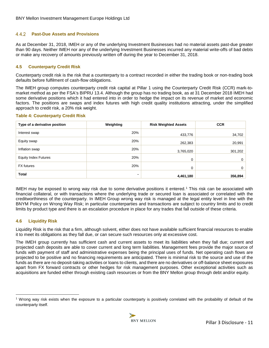#### <span id="page-10-0"></span> $4.4.2$ **Past-Due Assets and Provisions**

As at December 31, 2018, IMEH or any of the underlying Investment Businesses had no material assets past-due greater than 90 days. Neither IMEH nor any of the underlying Investment Businesses incurred any material write-offs of bad debts or make any recovery of amounts previously written off during the year to December 31, 2018.

# <span id="page-10-1"></span>**4.5 Counterparty Credit Risk**

Counterparty credit risk is the risk that a counterparty to a contract recorded in either the trading book or non-trading book defaults before fulfilment of cash-flow obligations.

The IMEH group computes counterparty credit risk capital at Pillar 1 using the Counterparty Credit Risk (CCR) mark-tomarket method as per the FSA's BIPRU 13.4. Although the group has no trading book, as at 31 December 2018 IMEH had some derivative positions which it had entered into in order to hedge the impact on its revenue of market and economic factors. The positions are swaps and index futures with high credit quality institutions attracting, under the simplified approach to credit risk, a 20% risk weight.

#### <span id="page-10-3"></span>**Table 4: Counterparty Credit Risk**

| Type of a derivative position | Weighting | <b>Risk Weighted Assets</b> | <b>CCR</b>  |
|-------------------------------|-----------|-----------------------------|-------------|
| Interest swap                 | 20%       | 433,776                     | 34,702      |
| Equity swap                   | 20%       | 262,383                     | 20,991      |
| Inflation swap                | 20%       | 3,765,020                   | 301,202     |
| <b>Equity Index Futures</b>   | 20%       | 0                           | $\mathbf 0$ |
| <b>FX</b> futures             | 20%       | 0                           | $\mathbf 0$ |
| <b>Total</b>                  | -         | 4,461,180                   | 356,894     |

IMEH may be exposed to wrong way risk due to some derivative positions it entered.[1](#page-10-4) This risk can be associated with financial collateral, or with transactions where the underlying trade or secured loan is associated or correlated with the creditworthiness of the counterparty. In IMEH Group wrong way risk is managed at the legal entity level in line with the BNYM Policy on Wrong Way Risk; in particular counterparties and transactions are subject to country limits and to credit limits by product type and there is an escalation procedure in place for any trades that fall outside of these criteria.

## <span id="page-10-2"></span>**4.6 Liquidity Risk**

 $\overline{a}$ 

Liquidity Risk is the risk that a firm, although solvent, either does not have available sufficient financial resources to enable it to meet its obligations as they fall due, or can secure such resources only at excessive cost.

The IMEH group currently has sufficient cash and current assets to meet its liabilities when they fall due; current and projected cash deposits are able to cover current and long term liabilities. Management fees provide the major source of funds with payment of staff and administrative expenses being the principal uses of funds. Net operating cash flows are projected to be positive and no financing requirements are anticipated. There is minimal risk to the source and use of the funds as there are no deposit-taking activities or loans to clients, and there are no derivatives or off-balance sheet exposures apart from FX forward contracts or other hedges for risk management purposes. Other exceptional activities such as acquisitions are funded either through existing cash resources or from the BNY Mellon group through debt and/or equity.

<span id="page-10-4"></span><sup>1</sup> Wrong way risk exists when the exposure to a particular counterparty is positively correlated with the probability of default of the counterparty itself.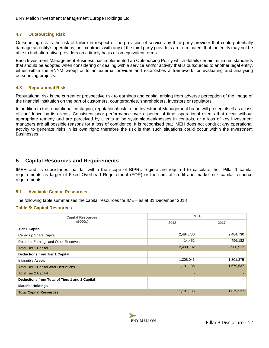## <span id="page-11-0"></span>**4.7 Outsourcing Risk**

Outsourcing risk is the risk of failure in respect of the provision of services by third party provider that could potentially damage an entity's operations, or if contracts with any of the third party providers are terminated, that the entity may not be able to find alternative providers on a timely basis or on equivalent terms.

Each Investment Management Business has implemented an Outsourcing Policy which details certain minimum standards that should be adopted when considering or dealing with a service and/or activity that is outsourced to another legal entity, either within the BNYM Group or to an external provider and establishes a framework for evaluating and analysing outsourcing projects.

#### <span id="page-11-1"></span>**4.8 Reputational Risk**

Reputational risk is the current or prospective risk to earnings and capital arising from adverse perception of the image of the financial institution on the part of customers, counterparties, shareholders, investors or regulators.

In addition to the reputational contagion, reputational risk to the Investment Management brand will present itself as a loss of confidence by its clients. Consistent poor performance over a period of time, operational events that occur without appropriate remedy and are perceived by clients to be systemic weaknesses in controls, or a loss of key investment managers are all possible reasons for a loss of confidence. It is recognised that IMEH does not conduct any operational activity to generate risks in its own right; therefore the risk is that such situations could occur within the Investment Businesses.

# <span id="page-11-2"></span>**5 Capital Resources and Requirements**

IMEH and its subsidiaries that fall within the scope of BIPRU regime are required to calculate their Pillar 1 capital requirements as larger of Fixed Overhead Requirement (FOR) or the sum of credit and market risk capital resource requirements.

#### <span id="page-11-3"></span>**5.1 Available Capital Resources**

The following table summarises the capital resources for IMEH as at 31 December 2018

#### <span id="page-11-4"></span>**Table 5: Capital Resources**

| <b>Capital Resources</b>                       | <b>IMEH</b>    |              |
|------------------------------------------------|----------------|--------------|
| (£000s)                                        | 2018           | 2017         |
| <b>Tier 1 Capital</b>                          |                |              |
| Called up Share Capital                        | 2,484,730      | 2,484,730    |
| Retained Earnings and Other Reserves           | 14,452         | 496,182      |
| <b>Total Tier 1 Capital</b>                    | 2,499,182      | 2,980,912    |
| <b>Deductions from Tier 1 Capital</b>          |                |              |
| Intangible Assets                              | $-1,308,046$   | $-1,301,375$ |
| <b>Total Tier 1 Capital After Deductions</b>   | 1,191,136      | 1,679,537    |
| <b>Total Tier 2 Capital</b>                    |                |              |
| Deductions from Total of Tiers 1 and 2 Capital | $\,$           |              |
| <b>Material Holdings</b>                       | $\blacksquare$ |              |
| <b>Total Capital Resources</b>                 | 1,191,136      | 1,679,537    |

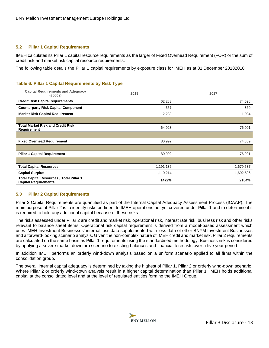#### <span id="page-12-0"></span>**5.2 Pillar 1 Capital Requirements**

IMEH calculates its Pillar 1 capital resource requirements as the larger of Fixed Overhead Requirement (FOR) or the sum of credit risk and market risk capital resource requirements.

<span id="page-12-2"></span>The following table details the Pillar 1 capital requirements by exposure class for IMEH as at 31 December 20182018.

#### **Table 6: Pillar 1 Capital Requirements by Risk Type**

| <b>Capital Requirements and Adequacy</b><br>(£000s)                            | 2018      | 2017      |
|--------------------------------------------------------------------------------|-----------|-----------|
| <b>Credit Risk Capital requirements</b>                                        | 62,283    | 74,598    |
| <b>Counterparty Risk Capital Component</b>                                     | 357       | 369       |
| <b>Market Risk Capital Requirement</b>                                         | 2,283     | 1,934     |
|                                                                                |           |           |
| <b>Total Market Risk and Credit Risk</b><br><b>Requirement</b>                 | 64,923    | 76,901    |
|                                                                                |           |           |
| <b>Fixed Overhead Requirement</b>                                              | 80,992    | 74,809    |
|                                                                                |           |           |
| <b>Pillar 1 Capital Requirement</b>                                            | 80,992    | 76,901    |
|                                                                                |           |           |
| <b>Total Capital Resources</b>                                                 | 1,191,136 | 1,679,537 |
| <b>Capital Surplus</b>                                                         | 1,110,214 | 1,602,636 |
| <b>Total Capital Resources / Total Pillar 1</b><br><b>Capital Requirements</b> | 1472%     | 2184%     |

#### <span id="page-12-1"></span>**5.3 Pillar 2 Capital Requirements**

Pillar 2 Capital Requirements are quantified as part of the Internal Capital Adequacy Assessment Process (ICAAP). The main purpose of Pillar 2 is to identify risks pertinent to IMEH operations not yet covered under Pillar 1 and to determine if it is required to hold any additional capital because of these risks.

The risks assessed under Pillar 2 are credit and market risk, operational risk, interest rate risk, business risk and other risks relevant to balance sheet items. Operational risk capital requirement is derived from a model-based assessment which uses IMEH Investment Businesses' internal loss data supplemented with loss data of other BNYM Investment Businesses and a forward-looking scenario analysis. Given the non-complex nature of IMEH credit and market risk, Pillar 2 requirements are calculated on the same basis as Pillar 1 requirements using the standardised methodology. Business risk is considered by applying a severe market downturn scenario to existing balances and financial forecasts over a five year period.

In addition IMEH performs an orderly wind-down analysis based on a uniform scenario applied to all firms within the consolidation group.

The overall internal capital adequacy is determined by taking the highest of Pillar 1, Pillar 2 or orderly wind-down scenario. Where Pillar 2 or orderly wind-down analysis result in a higher capital determination than Pillar 1, IMEH holds additional capital at the consolidated level and at the level of regulated entities forming the IMEH Group.

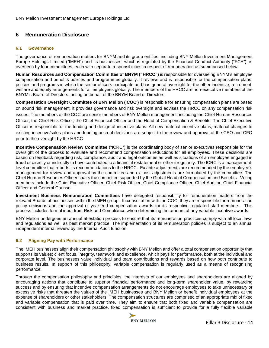# <span id="page-13-0"></span>**6 Remuneration Disclosure**

#### <span id="page-13-1"></span>**6.1 Governance**

The governance of remuneration matters for BNYM and its group entities, including BNY Mellon Investment Management Europe Holdings Limited ("IMEH") and its businesses, which is regulated by the Financial Conduct Authority ("FCA"), is overseen by four committees, each with separate responsibilities in respect of remuneration as summarised below:

**Human Resources and Compensation Committee of BNYM ("HRCC")** is responsible for overseeing BNYM's employee compensation and benefits policies and programmes globally. It reviews and is responsible for the compensation plans, policies and programs in which the senior officers participate and has general oversight for the other incentive, retirement, welfare and equity arrangements for all employees globally. The members of the HRCC are non-executive members of the BNYM's Board of Directors, acting on behalf of the BNYM Board of Directors.

**Compensation Oversight Committee of BNY Mellon ('COC'**) is responsible for ensuring compensation plans are based on sound risk management, it provides governance and risk oversight and advises the HRCC on any compensation risk issues. The members of the COC are senior members of BNY Mellon management, including the Chief Human Resources Officer, the Chief Risk Officer, the Chief Financial Officer and the Head of Compensation & Benefits. The Chief Executive Officer is responsible for the funding and design of incentive plans. All new material incentive plans, material changes to existing incentive/sales plans and funding accrual decisions are subject to the review and approval of the CEO and CFO prior to the oversight by the HRCC

**Incentive Compensation Review Committee** ("ICRC") is the coordinating body of senior executives responsible for the oversight of the process to evaluate and recommend compensation reductions for all employees. These decisions are based on feedback regarding risk, compliance, audit and legal outcomes as well as situations of an employee engaged in fraud or directly or indirectly to have contributed to a financial restatement or other irregularity. The ICRC is a managementlevel committee that reports its recommendations to the HRCC. Ex ante adjustments are recommended by the employee's management for review and approval by the committee and ex post adjustments are formulated by the committee. The Chief Human Resources Officer chairs the committee supported by the Global Head of Compensation and Benefits. Voting members include the Chief Executive Officer, Chief Risk Officer, Chief Compliance Officer, Chief Auditor, Chief Financial Officer and General Counsel.

**Investment Business Remuneration Committees** have delegated responsibility for remuneration matters from the relevant Boards of businesses within the IMEH group. In consultation with the COC, they are responsible for remuneration policy decisions and the approval of year-end compensation awards for its respective regulated staff members. This process includes formal input from Risk and Compliance when determining the amount of any variable incentive awards.

BNY Mellon undergoes an annual attestation process to ensure that its remuneration practices comply with all local laws and regulations as well as best market practice. The implementation of its remuneration policies is subject to an annual independent internal review by the Internal Audit function.

## <span id="page-13-2"></span>**6.2 Aligning Pay with Performance**

The IMEH businesses align their compensation philosophy with BNY Mellon and offer a total compensation opportunity that supports its values; client focus, integrity, teamwork and excellence, which pays for performance, both at the individual and corporate level. The businesses value individual and team contributions and rewards based on how both contribute to business results. In support of this philosophy, variable compensation is regularly used as a means of recognising performance.

Through the compensation philosophy and principles, the interests of our employees and shareholders are aligned by encouraging actions that contribute to superior financial performance and long-term shareholder value, by rewarding success and by ensuring that incentive compensation arrangements do not encourage employees to take unnecessary or excessive risks that threaten the values of the IMEH businesses and BNY Mellon or benefit individual employees at the expense of shareholders or other stakeholders. The compensation structures are comprised of an appropriate mix of fixed and variable compensation that is paid over time. They aim to ensure that both fixed and variable compensation are consistent with business and market practice, fixed compensation is sufficient to provide for a fully flexible variable

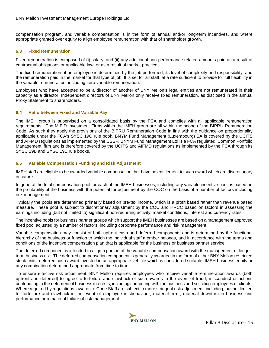compensation program, and variable compensation is in the form of annual and/or long-term incentives, and where appropriate granted over equity to align employee remuneration with that of shareholder growth.

## <span id="page-14-0"></span>**6.3 Fixed Remuneration**

Fixed remuneration is composed of (i) salary, and (ii) any additional non-performance related amounts paid as a result of contractual obligations or applicable law, or as a result of market practice,

The fixed remuneration of an employee is determined by the job performed, its level of complexity and responsibility, and the remuneration paid in the market for that type of job. It is set for all staff, at a rate sufficient to provide for full flexibility in the variable remuneration, including zero variable remuneration.

Employees who have accepted to be a director of another of BNY Mellon's legal entities are not remunerated in their capacity as a director. Independent directors of BNY Mellon only receive fixed remuneration, as disclosed in the annual Proxy Statement to shareholders.

## <span id="page-14-1"></span>**6.4 Ratio between Fixed and Variable Pay**

The IMEH group is supervised on a consolidated basis by the FCA and complies with all applicable remuneration requirements. The MIFID Investment Firms within the IMEH group are all within the scope of the BIPRU Remuneration Code. As such they apply the provisions of the BIPRU Remuneration Code in line with the guidance on proportionality applicable under the FCA's SYSC 19C rule book. BNYM Fund Management (Luxembourg) SA is covered by the UCITS and AIFMD regulations as implemented by the CSSF. BNYM Fund Management Ltd is a FCA regulated 'Common Portfolio Management' firm and is therefore covered by the UCITS and AIFMD regulations as implemented by the FCA through its SYSC 19B and SYSC 19E rule books.

## <span id="page-14-2"></span>**6.5 Variable Compensation Funding and Risk Adjustment**

IMEH staff are eligible to be awarded variable compensation, but have no entitlement to such award which are discretionary in nature.

In general the total compensation pool for each of the IMEH businesses, including any variable incentive pool, is based on the profitability of the business with the potential for adjustment by the COC on the basis of a number of factors including risk management.

Typically the pools are determined primarily based on pre-tax income, which is a profit based rather than revenue based measure. These pool is subject to discretionary adjustment by the COC and HRCC based on factors in assessing the earnings including (but not limited to) significant non-recurring activity, market conditions, interest and currency rates.

The incentive pools for business partner groups which support the IMEH businesses are based on a management approved fixed pool adjusted by a number of factors, including corporate performance and risk management.

Variable compensation may consist of both upfront cash and deferred components and is determined by the functional hierarchy of the business or function to which the individual staff member belongs, and in accordance with the terms and conditions of the incentive compensation plan that is applicable for the business or business partner service.

The deferred component is intended to align a portion of the variable compensation award with the management of longerterm business risk. The deferred compensation component is generally awarded in the form of either BNY Mellon restricted stock units, deferred cash award invested in an appropriate vehicle which is considered suitable, IMEH business equity or any combination determined appropriate from time to time.

To ensure effective risk adjustment, BNY Mellon requires employees who receive variable remuneration awards (both upfront and deferred) to agree to forfeiture and clawback of such awards in the event of fraud, misconduct or actions contributing to the detriment of business interests, including competing with the business and soliciting employees or clients. Where required by requiations, awards to Code Staff are subject to more stringent risk adjustment, including, but not limited to, forfeiture and clawback in the event of employee misbehaviour, material error, material downturn in business unit performance or a material failure of risk management.

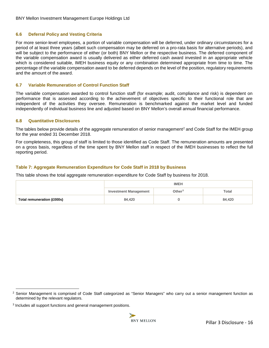#### <span id="page-15-0"></span>**6.6 Deferral Policy and Vesting Criteria**

For more senior-level employees, a portion of variable compensation will be deferred, under ordinary circumstances for a period of at least three years (albeit such compensation may be deferred on a pro-rata basis for alternative periods), and will be subject to the performance of either (or both) BNY Mellon or the respective business. The deferred component of the variable compensation award is usually delivered as either deferred cash award invested in an appropriate vehicle which is considered suitable, IMEH business equity or any combination determined appropriate from time to time. The percentage of the variable compensation award to be deferred depends on the level of the position, regulatory requirements and the amount of the award.

#### <span id="page-15-1"></span>**6.7 Variable Remuneration of Control Function Staff**

The variable compensation awarded to control function staff (for example; audit, compliance and risk) is dependent on performance that is assessed according to the achievement of objectives specific to their functional role that are independent of the activities they oversee. Remuneration is benchmarked against the market level and funded independently of individual business line and adjusted based on BNY Mellon's overall annual financial performance.

#### <span id="page-15-2"></span>**6.8 Quantitative Disclosures**

The tables below provide details of the aggregate remuneration of senior management<sup>[2](#page-15-5)</sup> and Code Staff for the IMEH group for the year ended 31 December 2018.

For completeness, this group of staff is limited to those identified as Code Staff. The remuneration amounts are presented on a gross basis, regardless of the time spent by BNY Mellon staff in respect of the IMEH businesses to reflect the full reporting period.

## <span id="page-15-3"></span>**Table 7: Aggregate Remuneration Expenditure for Code Staff in 2018 by Business**

This table shows the total aggregate remuneration expenditure for Code Staff by business for 2018.

<span id="page-15-4"></span>

|                            |                              | <b>IMEH</b> |              |
|----------------------------|------------------------------|-------------|--------------|
|                            | <b>Investment Management</b> | Other $3$   | <b>Total</b> |
| Total remuneration (£000s) | 84,420                       |             | 84,420       |

 $\overline{a}$ 

<span id="page-15-5"></span><sup>&</sup>lt;sup>2</sup> Senior Management is comprised of Code Staff categorized as "Senior Managers" who carry out a senior management function as determined by the relevant regulators.

<span id="page-15-6"></span><sup>3</sup> Includes all support functions and general management positions.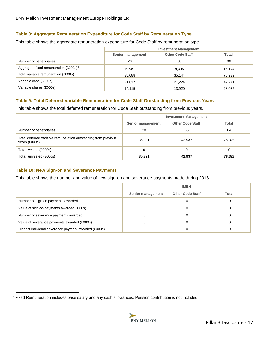# **Table 8: Aggregate Remuneration Expenditure for Code Staff by Remuneration Type**

This table shows the aggregate remuneration expenditure for Code Staff by remuneration type.

|                                                       | <b>Investment Management</b> |                         |              |  |  |
|-------------------------------------------------------|------------------------------|-------------------------|--------------|--|--|
|                                                       | Senior management            | <b>Other Code Staff</b> | <b>Total</b> |  |  |
| Number of beneficiaries                               | 28                           | 58                      | 86           |  |  |
| Aggregate fixed remuneration $(\text{\pounds}000s)^4$ | 5.749                        | 9,395                   | 15,144       |  |  |
| Total variable remuneration (£000s)                   | 35,088                       | 35,144                  | 70,232       |  |  |
| Variable cash (£000s)                                 | 21,017                       | 21,224                  | 42,241       |  |  |
| Variable shares (£000s)                               | 14,115                       | 13,920                  | 28,035       |  |  |

## <span id="page-16-0"></span>**Table 9: Total Deferred Variable Remuneration for Code Staff Outstanding from Previous Years**

This table shows the total deferred remuneration for Code Staff outstanding from previous years.

|                                                                                 | <b>Investment Management</b> |                         |              |  |  |
|---------------------------------------------------------------------------------|------------------------------|-------------------------|--------------|--|--|
|                                                                                 | Senior management            | <b>Other Code Staff</b> | <b>Total</b> |  |  |
| Number of beneficiaries                                                         | 28                           | 56                      | 84           |  |  |
| Total deferred variable remuneration outstanding from previous<br>years (£000s) | 35,391                       | 42,937                  | 78,328       |  |  |
| Total vested (£000s)                                                            |                              |                         |              |  |  |
| Total unvested (£000s)                                                          | 35,391                       | 42,937                  | 78,328       |  |  |

## <span id="page-16-1"></span>**Table 10: New Sign-on and Severance Payments**

This table shows the number and value of new sign-on and severance payments made during 2018.

|                                                      | <b>IMEH</b>       |                         |       |  |  |
|------------------------------------------------------|-------------------|-------------------------|-------|--|--|
|                                                      | Senior management | <b>Other Code Staff</b> | Total |  |  |
| Number of sign-on payments awarded                   |                   |                         |       |  |  |
| Value of sign-on payments awarded £000s)             |                   |                         |       |  |  |
| Number of severance payments awarded                 |                   |                         |       |  |  |
| Value of severance payments awarded (£000s)          |                   |                         |       |  |  |
| Highest individual severance payment awarded (£000s) |                   |                         |       |  |  |

<span id="page-16-3"></span><span id="page-16-2"></span> $\overline{a}$ <sup>4</sup> Fixed Remuneration includes base salary and any cash allowances. Pension contribution is not included.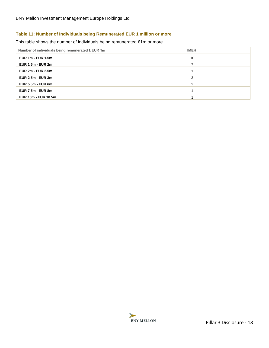# **Table 11: Number of Individuals being Remunerated EUR 1 million or more**

This table shows the number of individuals being remunerated €1m or more.

| Number of individuals being remunerated ≥ EUR 1m | <b>IMEH</b> |
|--------------------------------------------------|-------------|
| EUR $1m - EUR$ 1.5m                              | 10          |
| <b>EUR 1.5m - EUR 2m</b>                         |             |
| <b>EUR 2m - EUR 2.5m</b>                         |             |
| <b>EUR 2.5m - EUR 3m</b>                         | 3           |
| <b>EUR 5.5m - EUR 6m</b>                         |             |
| <b>EUR 7.5m - EUR 8m</b>                         |             |
| <b>EUR 10m - EUR 10.5m</b>                       |             |